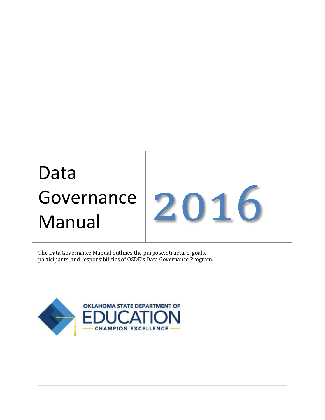# Data Governance Governance 2016

The Data Governance Manual outlines the purpose, structure, goals, participants, and responsibilities of OSDE's Data Governance Program.

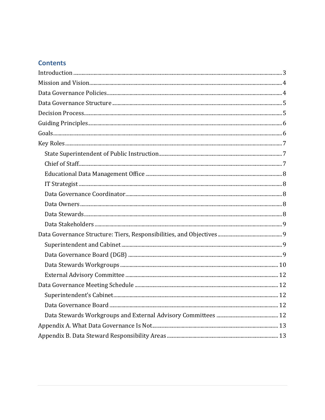## **Contents**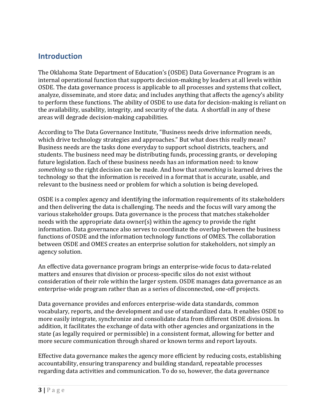## <span id="page-3-0"></span>**Introduction**

The Oklahoma State Department of Education's (OSDE) Data Governance Program is an internal operational function that supports decision-making by leaders at all levels within OSDE. The data governance process is applicable to all processes and systems that collect, analyze, disseminate, and store data; and includes anything that affects the agency's ability to perform these functions. The ability of OSDE to use data for decision-making is reliant on the availability, usability, integrity, and security of the data. A shortfall in any of these areas will degrade decision-making capabilities.

According to The Data Governance Institute, "Business needs drive information needs, which drive technology strategies and approaches." But what does this really mean? Business needs are the tasks done everyday to support school districts, teachers, and students. The business need may be distributing funds, processing grants, or developing future legislation. Each of these business needs has an information need: to know *something* so the right decision can be made. And how that *something* is learned drives the technology so that the information is received in a format that is accurate, usable, and relevant to the business need or problem for which a solution is being developed.

OSDE is a complex agency and identifying the information requirements of its stakeholders and then delivering the data is challenging. The needs and the focus will vary among the various stakeholder groups. Data governance is the process that matches stakeholder needs with the appropriate data owner(s) within the agency to provide the right information. Data governance also serves to coordinate the overlap between the business functions of OSDE and the information technology functions of OMES. The collaboration between OSDE and OMES creates an enterprise solution for stakeholders, not simply an agency solution.

An effective data governance program brings an enterprise-wide focus to data-related matters and ensures that division or process-specific silos do not exist without consideration of their role within the larger system. OSDE manages data governance as an enterprise-wide program rather than as a series of disconnected, one-off projects.

Data governance provides and enforces enterprise-wide data standards, common vocabulary, reports, and the development and use of standardized data. It enables OSDE to more easily integrate, synchronize and consolidate data from different OSDE divisions. In addition, it facilitates the exchange of data with other agencies and organizations in the state (as legally required or permissible) in a consistent format, allowing for better and more secure communication through shared or known terms and report layouts.

Effective data governance makes the agency more efficient by reducing costs, establishing accountability, ensuring transparency and building standard, repeatable processes regarding data activities and communication. To do so, however, the data governance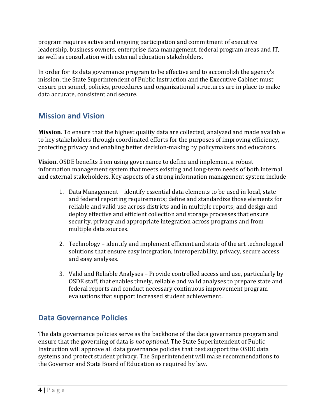program requires active and ongoing participation and commitment of executive leadership, business owners, enterprise data management, federal program areas and IT, as well as consultation with external education stakeholders.

In order for its data governance program to be effective and to accomplish the agency's mission, the State Superintendent of Public Instruction and the Executive Cabinet must ensure personnel, policies, procedures and organizational structures are in place to make data accurate, consistent and secure.

## <span id="page-4-0"></span>**Mission and Vision**

**Mission**. To ensure that the highest quality data are collected, analyzed and made available to key stakeholders through coordinated efforts for the purposes of improving efficiency, protecting privacy and enabling better decision-making by policymakers and educators.

**Vision**. OSDE benefits from using governance to define and implement a robust information management system that meets existing and long-term needs of both internal and external stakeholders. Key aspects of a strong information management system include

- 1. Data Management identify essential data elements to be used in local, state and federal reporting requirements; define and standardize those elements for reliable and valid use across districts and in multiple reports; and design and deploy effective and efficient collection and storage processes that ensure security, privacy and appropriate integration across programs and from multiple data sources.
- 2. Technology identify and implement efficient and state of the art technological solutions that ensure easy integration, interoperability, privacy, secure access and easy analyses.
- 3. Valid and Reliable Analyses Provide controlled access and use, particularly by OSDE staff, that enables timely, reliable and valid analyses to prepare state and federal reports and conduct necessary continuous improvement program evaluations that support increased student achievement.

## <span id="page-4-1"></span>**Data Governance Policies**

The data governance policies serve as the backbone of the data governance program and ensure that the governing of data is *not optional*. The State Superintendent of Public Instruction will approve all data governance policies that best support the OSDE data systems and protect student privacy. The Superintendent will make recommendations to the Governor and State Board of Education as required by law.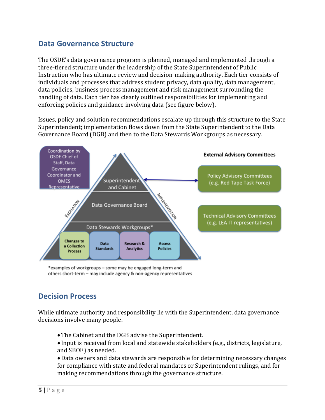## <span id="page-5-0"></span>**Data Governance Structure**

The OSDE's data governance program is planned, managed and implemented through a three-tiered structure under the leadership of the State Superintendent of Public Instruction who has ultimate review and decision-making authority. Each tier consists of individuals and processes that address student privacy, data quality, data management, data policies, business process management and risk management surrounding the handling of data. Each tier has clearly outlined responsibilities for implementing and enforcing policies and guidance involving data (see figure below).

Issues, policy and solution recommendations escalate up through this structure to the State Superintendent; implementation flows down from the State Superintendent to the Data Governance Board (DGB) and then to the Data Stewards Workgroups as necessary.



\*examples of workgroups - some may be engaged long-term and others short-term - may include agency & non-agency representatives

## <span id="page-5-1"></span>**Decision Process**

While ultimate authority and responsibility lie with the Superintendent, data governance decisions involve many people.

- The Cabinet and the DGB advise the Superintendent.
- Input is received from local and statewide stakeholders (e.g., districts, legislature, and SBOE) as needed.

Data owners and data stewards are responsible for determining necessary changes for compliance with state and federal mandates or Superintendent rulings, and for making recommendations through the governance structure.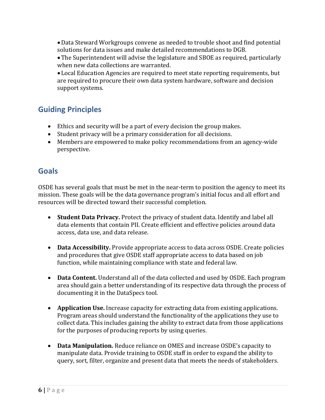Data Steward Workgroups convene as needed to trouble shoot and find potential solutions for data issues and make detailed recommendations to DGB.

The Superintendent will advise the legislature and SBOE as required, particularly when new data collections are warranted.

 Local Education Agencies are required to meet state reporting requirements, but are required to procure their own data system hardware, software and decision support systems.

# <span id="page-6-0"></span>**Guiding Principles**

- Ethics and security will be a part of every decision the group makes.
- Student privacy will be a primary consideration for all decisions.
- Members are empowered to make policy recommendations from an agency-wide perspective.

## <span id="page-6-1"></span>**Goals**

OSDE has several goals that must be met in the near-term to position the agency to meet its mission. These goals will be the data governance program's initial focus and all effort and resources will be directed toward their successful completion.

- **Student Data Privacy.** Protect the privacy of student data. Identify and label all data elements that contain PII. Create efficient and effective policies around data access, data use, and data release.
- **Data Accessibility.** Provide appropriate access to data across OSDE. Create policies and procedures that give OSDE staff appropriate access to data based on job function, while maintaining compliance with state and federal law.
- **Data Content.** Understand all of the data collected and used by OSDE. Each program area should gain a better understanding of its respective data through the process of documenting it in the DataSpecs tool.
- **Application Use.** Increase capacity for extracting data from existing applications. Program areas should understand the functionality of the applications they use to collect data. This includes gaining the ability to extract data from those applications for the purposes of producing reports by using queries.
- **Data Manipulation.** Reduce reliance on OMES and increase OSDE's capacity to manipulate data. Provide training to OSDE staff in order to expand the ability to query, sort, filter, organize and present data that meets the needs of stakeholders.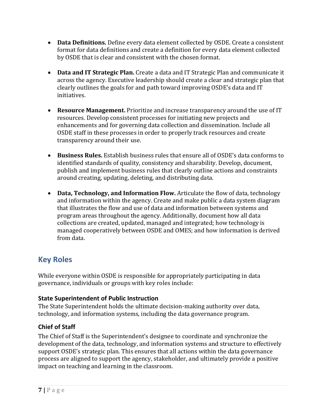- **Data Definitions.** Define every data element collected by OSDE. Create a consistent format for data definitions and create a definition for every data element collected by OSDE that is clear and consistent with the chosen format.
- **Data and IT Strategic Plan.** Create a data and IT Strategic Plan and communicate it across the agency. Executive leadership should create a clear and strategic plan that clearly outlines the goals for and path toward improving OSDE's data and IT initiatives.
- **Resource Management.** Prioritize and increase transparency around the use of IT resources. Develop consistent processes for initiating new projects and enhancements and for governing data collection and dissemination. Include all OSDE staff in these processes in order to properly track resources and create transparency around their use.
- **Business Rules.** Establish business rules that ensure all of OSDE's data conforms to identified standards of quality, consistency and sharability. Develop, document, publish and implement business rules that clearly outline actions and constraints around creating, updating, deleting, and distributing data.
- **Data, Technology, and Information Flow.** Articulate the flow of data, technology and information within the agency. Create and make public a data system diagram that illustrates the flow and use of data and information between systems and program areas throughout the agency. Additionally, document how all data collections are created, updated, managed and integrated; how technology is managed cooperatively between OSDE and OMES; and how information is derived from data.

# <span id="page-7-0"></span>**Key Roles**

While everyone within OSDE is responsible for appropriately participating in data governance, individuals or groups with key roles include:

## <span id="page-7-1"></span>**State Superintendent of Public Instruction**

The State Superintendent holds the ultimate decision-making authority over data, technology, and information systems, including the data governance program.

## <span id="page-7-2"></span>**Chief of Staff**

The Chief of Staff is the Superintendent's designee to coordinate and synchronize the development of the data, technology, and information systems and structure to effectively support OSDE's strategic plan. This ensures that all actions within the data governance process are aligned to support the agency, stakeholder, and ultimately provide a positive impact on teaching and learning in the classroom.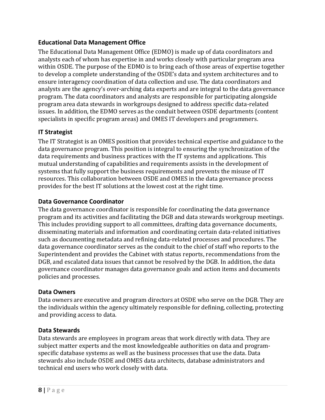## <span id="page-8-0"></span>**Educational Data Management Office**

The Educational Data Management Office (EDMO) is made up of data coordinators and analysts each of whom has expertise in and works closely with particular program area within OSDE. The purpose of the EDMO is to bring each of those areas of expertise together to develop a complete understanding of the OSDE's data and system architectures and to ensure interagency coordination of data collection and use. The data coordinators and analysts are the agency's over-arching data experts and are integral to the data governance program. The data coordinators and analysts are responsible for participating alongside program area data stewards in workgroups designed to address specific data-related issues. In addition, the EDMO serves as the conduit between OSDE departments (content specialists in specific program areas) and OMES IT developers and programmers.

## <span id="page-8-1"></span>**IT Strategist**

The IT Strategist is an OMES position that provides technical expertise and guidance to the data governance program. This position is integral to ensuring the synchronization of the data requirements and business practices with the IT systems and applications. This mutual understanding of capabilities and requirements assists in the development of systems that fully support the business requirements and prevents the misuse of IT resources. This collaboration between OSDE and OMES in the data governance process provides for the best IT solutions at the lowest cost at the right time.

## <span id="page-8-2"></span>**Data Governance Coordinator**

The data governance coordinator is responsible for coordinating the data governance program and its activities and facilitating the DGB and data stewards workgroup meetings. This includes providing support to all committees, drafting data governance documents, disseminating materials and information and coordinating certain data-related initiatives such as documenting metadata and refining data-related processes and procedures. The data governance coordinator serves as the conduit to the chief of staff who reports to the Superintendent and provides the Cabinet with status reports, recommendations from the DGB, and escalated data issues that cannot be resolved by the DGB. In addition, the data governance coordinator manages data governance goals and action items and documents policies and processes.

#### <span id="page-8-3"></span>**Data Owners**

Data owners are executive and program directors at OSDE who serve on the DGB. They are the individuals within the agency ultimately responsible for defining, collecting, protecting and providing access to data.

#### <span id="page-8-4"></span>**Data Stewards**

Data stewards are employees in program areas that work directly with data. They are subject matter experts and the most knowledgeable authorities on data and programspecific database systems as well as the business processes that use the data. Data stewards also include OSDE and OMES data architects, database administrators and technical end users who work closely with data.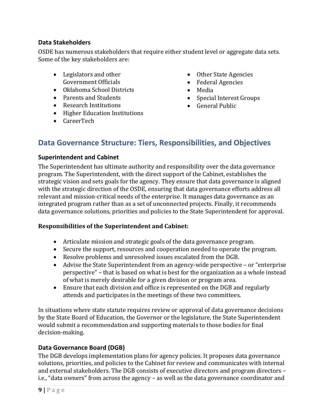#### <span id="page-9-0"></span>**Data Stakeholders**

OSDE has numerous stakeholders that require either student level or aggregate data sets. Some of the key stakeholders are:

- Legislators and other Government Officials
- Oklahoma School Districts
- Parents and Students
- Research Institutions
- Higher Education Institutions
- CareerTech
- Other State Agencies
- Federal Agencies
- Media
- Special Interest Groups
- General Public

## <span id="page-9-1"></span>**Data Governance Structure: Tiers, Responsibilities, and Objectives**

#### <span id="page-9-2"></span>**Superintendent and Cabinet**

The Superintendent has ultimate authority and responsibility over the data governance program. The Superintendent, with the direct support of the Cabinet, establishes the strategic vision and sets goals for the agency. They ensure that data governance is aligned with the strategic direction of the OSDE, ensuring that data governance efforts address all relevant and mission-critical needs of the enterprise. It manages data governance as an integrated program rather than as a set of unconnected projects. Finally, it recommends data governance solutions, priorities and policies to the State Superintendent for approval.

#### **Responsibilities of the Superintendent and Cabinet:**

- Articulate mission and strategic goals of the data governance program.
- Secure the support, resources and cooperation needed to operate the program.
- Resolve problems and unresolved issues escalated from the DGB.
- Advise the State Superintendent from an agency-wide perspective or "enterprise perspective" – that is based on what is best for the organization as a whole instead of what is merely desirable for a given division or program area.
- Ensure that each division and office is represented on the DGB and regularly attends and participates in the meetings of these two committees.

In situations where state statute requires review or approval of data governance decisions by the State Board of Education, the Governor or the legislature, the State Superintendent would submit a recommendation and supporting materials to those bodies for final decision-making.

## <span id="page-9-3"></span>**Data Governance Board (DGB)**

The DGB develops implementation plans for agency policies. It proposes data governance solutions, priorities, and policies to the Cabinet for review and communicates with internal and external stakeholders. The DGB consists of executive directors and program directors – i.e., "data owners" from across the agency – as well as the data governance coordinator and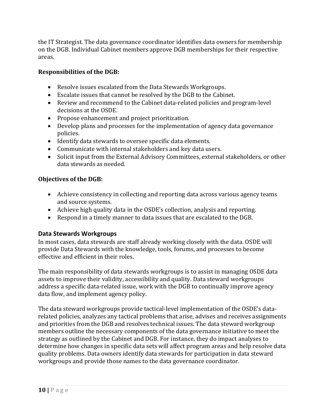the IT Strategist. The data governance coordinator identifies data owners for membership on the DGB. Individual Cabinet members approve DGB memberships for their respective areas.

## **Responsibilities of the DGB:**

- Resolve issues escalated from the Data Stewards Workgroups.
- Escalate issues that cannot be resolved by the DGB to the Cabinet.
- Review and recommend to the Cabinet data-related policies and program-level decisions at the OSDE.
- Propose enhancement and project prioritization.
- Develop plans and processes for the implementation of agency data governance policies.
- Identify data stewards to oversee specific data elements.
- Communicate with internal stakeholders and key data users.
- Solicit input from the External Advisory Committees, external stakeholders, or other data stewards as needed.

## **Objectives of the DGB:**

- Achieve consistency in collecting and reporting data across various agency teams and source systems.
- Achieve high quality data in the OSDE's collection, analysis and reporting.
- Respond in a timely manner to data issues that are escalated to the DGB.

## <span id="page-10-0"></span>**Data Stewards Workgroups**

In most cases, data stewards are staff already working closely with the data. OSDE will provide Data Stewards with the knowledge, tools, forums, and processes to become effective and efficient in their roles.

The main responsibility of data stewards workgroups is to assist in managing OSDE data assets to improve their validity, accessibility and quality. Data steward workgroups address a specific data-related issue, work with the DGB to continually improve agency data flow, and implement agency policy.

The data steward workgroups provide tactical-level implementation of the OSDE's datarelated policies, analyzes any tactical problems that arise, advises and receives assignments and priorities from the DGB and resolves technical issues. The data steward workgroup members outline the necessary components of the data governance initiative to meet the strategy as outlined by the Cabinet and DGB. For instance, they do impact analyses to determine how changes in specific data sets will affect program areas and help resolve data quality problems. Data owners identify data stewards for participation in data steward workgroups and provide those names to the data governance coordinator.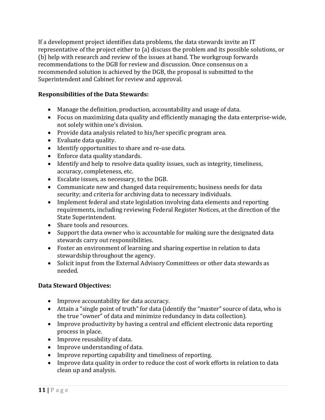If a development project identifies data problems, the data stewards invite an IT representative of the project either to (a) discuss the problem and its possible solutions, or (b) help with research and review of the issues at hand. The workgroup forwards recommendations to the DGB for review and discussion. Once consensus on a recommended solution is achieved by the DGB, the proposal is submitted to the Superintendent and Cabinet for review and approval.

## **Responsibilities of the Data Stewards:**

- Manage the definition, production, accountability and usage of data.
- Focus on maximizing data quality and efficiently managing the data enterprise-wide, not solely within one's division.
- Provide data analysis related to his/her specific program area.
- Evaluate data quality.
- Identify opportunities to share and re-use data.
- Enforce data quality standards.
- Identify and help to resolve data quality issues, such as integrity, timeliness, accuracy, completeness, etc.
- Escalate issues, as necessary, to the DGB.
- Communicate new and changed data requirements; business needs for data security; and criteria for archiving data to necessary individuals.
- Implement federal and state legislation involving data elements and reporting requirements, including reviewing Federal Register Notices, at the direction of the State Superintendent.
- Share tools and resources.
- Support the data owner who is accountable for making sure the designated data stewards carry out responsibilities.
- Foster an environment of learning and sharing expertise in relation to data stewardship throughout the agency.
- Solicit input from the External Advisory Committees or other data stewards as needed.

## **Data Steward Objectives:**

- Improve accountability for data accuracy.
- Attain a "single point of truth" for data (identify the "master" source of data, who is the true "owner" of data and minimize redundancy in data collection).
- Improve productivity by having a central and efficient electronic data reporting process in place.
- Improve reusability of data.
- Improve understanding of data.
- Improve reporting capability and timeliness of reporting.
- Improve data quality in order to reduce the cost of work efforts in relation to data clean up and analysis.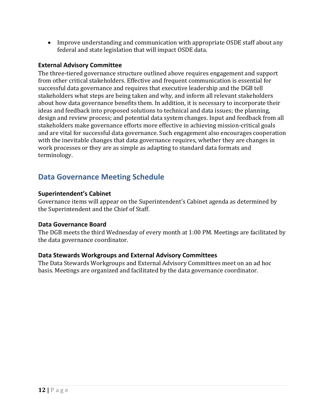• Improve understanding and communication with appropriate OSDE staff about any federal and state legislation that will impact OSDE data.

#### <span id="page-12-0"></span>**External Advisory Committee**

The three-tiered governance structure outlined above requires engagement and support from other critical stakeholders. Effective and frequent communication is essential for successful data governance and requires that executive leadership and the DGB tell stakeholders what steps are being taken and why, and inform all relevant stakeholders about how data governance benefits them. In addition, it is necessary to incorporate their ideas and feedback into proposed solutions to technical and data issues; the planning, design and review process; and potential data system changes. Input and feedback from all stakeholders make governance efforts more effective in achieving mission-critical goals and are vital for successful data governance. Such engagement also encourages cooperation with the inevitable changes that data governance requires, whether they are changes in work processes or they are as simple as adapting to standard data formats and terminology.

## <span id="page-12-1"></span>**Data Governance Meeting Schedule**

#### <span id="page-12-2"></span>**Superintendent's Cabinet**

Governance items will appear on the Superintendent's Cabinet agenda as determined by the Superintendent and the Chief of Staff.

#### <span id="page-12-3"></span>**Data Governance Board**

The DGB meets the third Wednesday of every month at 1:00 PM. Meetings are facilitated by the data governance coordinator.

#### <span id="page-12-4"></span>**Data Stewards Workgroups and External Advisory Committees**

The Data Stewards Workgroups and External Advisory Committees meet on an ad hoc basis. Meetings are organized and facilitated by the data governance coordinator.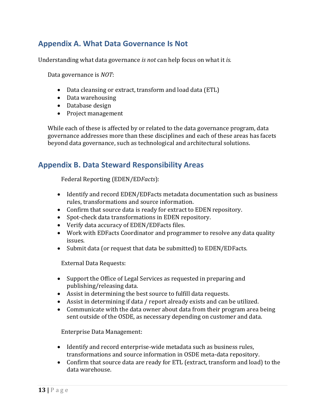# <span id="page-13-0"></span>**Appendix A. What Data Governance Is Not**

Understanding what data governance *is not* can help focus on what it *is.* 

Data governance is *NOT*:

- Data cleansing or extract, transform and load data (ETL)
- Data warehousing
- Database design
- Project management

While each of these is affected by or related to the data governance program, data governance addresses more than these disciplines and each of these areas has facets beyond data governance, such as technological and architectural solutions.

## <span id="page-13-1"></span>**Appendix B. Data Steward Responsibility Areas**

Federal Reporting (EDEN/ED*Facts*):

- Identify and record EDEN/EDFacts metadata documentation such as business rules, transformations and source information.
- Confirm that source data is ready for extract to EDEN repository.
- Spot-check data transformations in EDEN repository.
- Verify data accuracy of EDEN/EDFacts files.
- Work with EDFacts Coordinator and programmer to resolve any data quality issues.
- Submit data (or request that data be submitted) to EDEN/EDFacts.

External Data Requests:

- Support the Office of Legal Services as requested in preparing and publishing/releasing data.
- Assist in determining the best source to fulfill data requests.
- Assist in determining if data / report already exists and can be utilized.
- Communicate with the data owner about data from their program area being sent outside of the OSDE, as necessary depending on customer and data.

Enterprise Data Management:

- Identify and record enterprise-wide metadata such as business rules, transformations and source information in OSDE meta-data repository.
- Confirm that source data are ready for ETL (extract, transform and load) to the data warehouse.